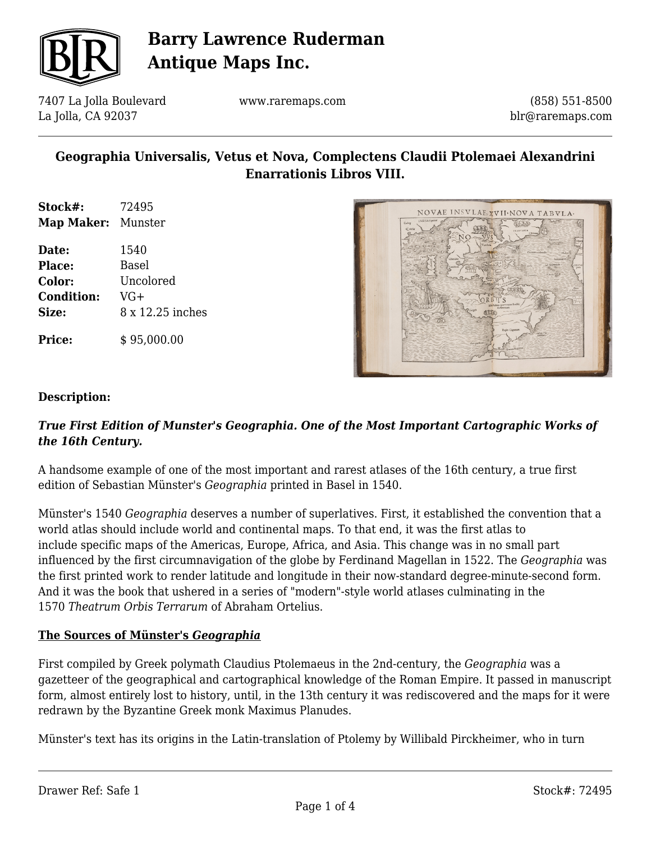

7407 La Jolla Boulevard La Jolla, CA 92037

www.raremaps.com

(858) 551-8500 blr@raremaps.com

## **Geographia Universalis, Vetus et Nova, Complectens Claudii Ptolemaei Alexandrini Enarrationis Libros VIII.**

- **Stock#:** 72495 **Map Maker:** Munster
- **Date:** 1540 **Place:** Basel **Color:** Uncolored **Condition:** VG+ **Size:** 8 x 12.25 inches

**Price:**  $$95,000.00$ 



#### **Description:**

### *True First Edition of Munster's Geographia. One of the Most Important Cartographic Works of the 16th Century.*

A handsome example of one of the most important and rarest atlases of the 16th century, a true first edition of Sebastian Münster's *Geographia* printed in Basel in 1540.

Münster's 1540 *Geographia* deserves a number of superlatives. First, it established the convention that a world atlas should include world and continental maps. To that end, it was the first atlas to include specific maps of the Americas, Europe, Africa, and Asia. This change was in no small part influenced by the first circumnavigation of the globe by Ferdinand Magellan in 1522. The *Geographia* was the first printed work to render latitude and longitude in their now-standard degree-minute-second form. And it was the book that ushered in a series of "modern"-style world atlases culminating in the 1570 *Theatrum Orbis Terrarum* of Abraham Ortelius.

### **The Sources of Münster's** *Geographia*

First compiled by Greek polymath Claudius Ptolemaeus in the 2nd-century, the *Geographia* was a gazetteer of the geographical and cartographical knowledge of the Roman Empire. It passed in manuscript form, almost entirely lost to history, until, in the 13th century it was rediscovered and the maps for it were redrawn by the Byzantine Greek monk Maximus Planudes.

Münster's text has its origins in the Latin-translation of Ptolemy by Willibald Pirckheimer, who in turn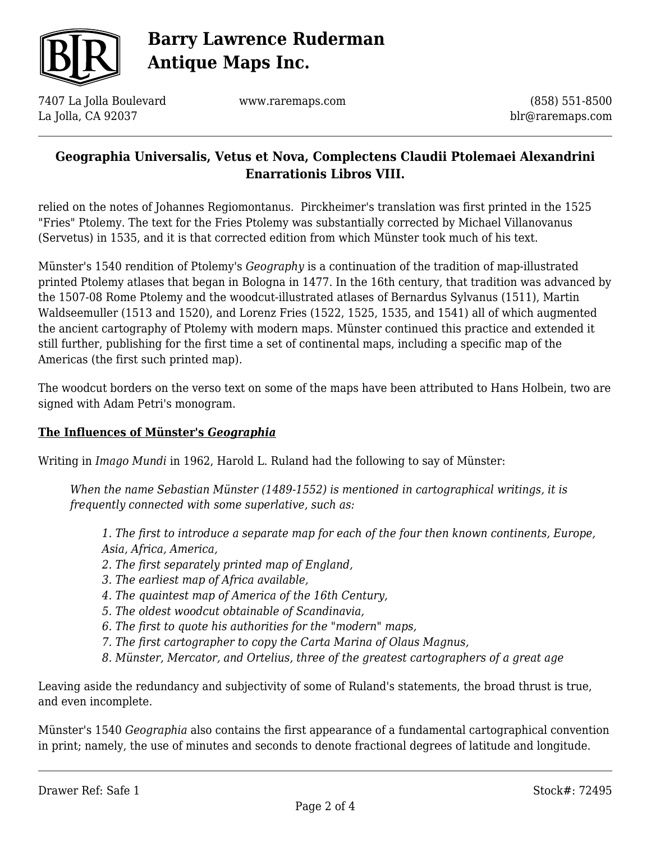

7407 La Jolla Boulevard La Jolla, CA 92037

www.raremaps.com

(858) 551-8500 blr@raremaps.com

## **Geographia Universalis, Vetus et Nova, Complectens Claudii Ptolemaei Alexandrini Enarrationis Libros VIII.**

relied on the notes of Johannes Regiomontanus. Pirckheimer's translation was first printed in the 1525 "Fries" Ptolemy. The text for the Fries Ptolemy was substantially corrected by Michael Villanovanus (Servetus) in 1535, and it is that corrected edition from which Münster took much of his text.

Münster's 1540 rendition of Ptolemy's *Geography* is a continuation of the tradition of map-illustrated printed Ptolemy atlases that began in Bologna in 1477. In the 16th century, that tradition was advanced by the 1507-08 Rome Ptolemy and the woodcut-illustrated atlases of Bernardus Sylvanus (1511), Martin Waldseemuller (1513 and 1520), and Lorenz Fries (1522, 1525, 1535, and 1541) all of which augmented the ancient cartography of Ptolemy with modern maps. Münster continued this practice and extended it still further, publishing for the first time a set of continental maps, including a specific map of the Americas (the first such printed map).

The woodcut borders on the verso text on some of the maps have been attributed to Hans Holbein, two are signed with Adam Petri's monogram.

### **The Influences of Münster's** *Geographia*

Writing in *Imago Mundi* in 1962, Harold L. Ruland had the following to say of Münster:

*When the name Sebastian Münster (1489-1552) is mentioned in cartographical writings, it is frequently connected with some superlative, such as:*

*1. The first to introduce a separate map for each of the four then known continents, Europe, Asia, Africa, America,*

- *2. The first separately printed map of England,*
- *3. The earliest map of Africa available,*
- *4. The quaintest map of America of the 16th Century,*
- *5. The oldest woodcut obtainable of Scandinavia,*
- *6. The first to quote his authorities for the "modern" maps,*
- *7. The first cartographer to copy the Carta Marina of Olaus Magnus,*
- *8. Münster, Mercator, and Ortelius, three of the greatest cartographers of a great age*

Leaving aside the redundancy and subjectivity of some of Ruland's statements, the broad thrust is true, and even incomplete.

Münster's 1540 *Geographia* also contains the first appearance of a fundamental cartographical convention in print; namely, the use of minutes and seconds to denote fractional degrees of latitude and longitude.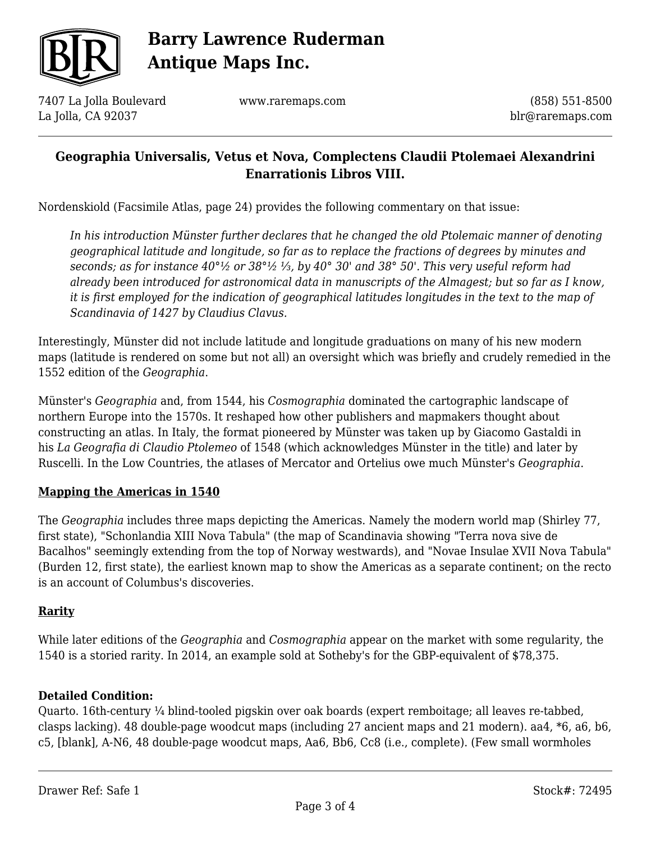

7407 La Jolla Boulevard La Jolla, CA 92037

www.raremaps.com

(858) 551-8500 blr@raremaps.com

## **Geographia Universalis, Vetus et Nova, Complectens Claudii Ptolemaei Alexandrini Enarrationis Libros VIII.**

Nordenskiold (Facsimile Atlas, page 24) provides the following commentary on that issue:

*In his introduction Münster further declares that he changed the old Ptolemaic manner of denoting geographical latitude and longitude, so far as to replace the fractions of degrees by minutes and seconds; as for instance 40°½ or 38°½ ⅓, by 40° 30' and 38° 50'. This very useful reform had already been introduced for astronomical data in manuscripts of the Almagest; but so far as I know, it is first employed for the indication of geographical latitudes longitudes in the text to the map of Scandinavia of 1427 by Claudius Clavus.*

Interestingly, Münster did not include latitude and longitude graduations on many of his new modern maps (latitude is rendered on some but not all) an oversight which was briefly and crudely remedied in the 1552 edition of the *Geographia*.

Münster's *Geographia* and, from 1544, his *Cosmographia* dominated the cartographic landscape of northern Europe into the 1570s. It reshaped how other publishers and mapmakers thought about constructing an atlas. In Italy, the format pioneered by Münster was taken up by Giacomo Gastaldi in his *La Geografia di Claudio Ptolemeo* of 1548 (which acknowledges Münster in the title) and later by Ruscelli. In the Low Countries, the atlases of Mercator and Ortelius owe much Münster's *Geographia*.

### **Mapping the Americas in 1540**

The *Geographia* includes three maps depicting the Americas. Namely the modern world map (Shirley 77, first state), "Schonlandia XIII Nova Tabula" (the map of Scandinavia showing "Terra nova sive de Bacalhos" seemingly extending from the top of Norway westwards), and "Novae Insulae XVII Nova Tabula" (Burden 12, first state), the earliest known map to show the Americas as a separate continent; on the recto is an account of Columbus's discoveries.

### **Rarity**

While later editions of the *Geographia* and *Cosmographia* appear on the market with some regularity, the 1540 is a storied rarity. In 2014, an example sold at Sotheby's for the GBP-equivalent of \$78,375.

### **Detailed Condition:**

Quarto. 16th-century ¼ blind-tooled pigskin over oak boards (expert remboitage; all leaves re-tabbed, clasps lacking). 48 double-page woodcut maps (including 27 ancient maps and 21 modern). aa4, \*6, a6, b6, c5, [blank], A-N6, 48 double-page woodcut maps, Aa6, Bb6, Cc8 (i.e., complete). (Few small wormholes